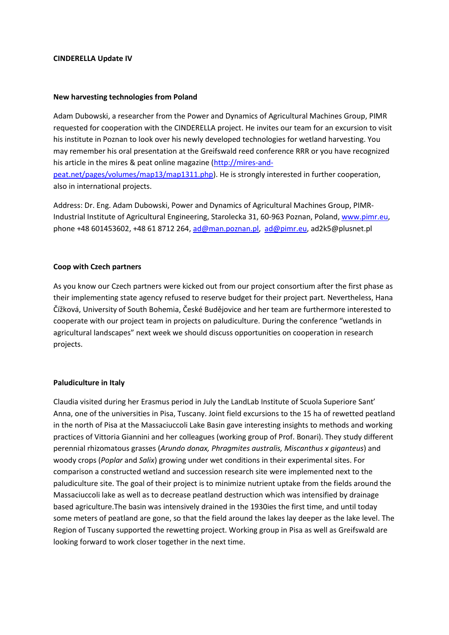#### **CINDERELLA Update IV**

#### **New harvesting technologies from Poland**

Adam Dubowski, a researcher from the Power and Dynamics of Agricultural Machines Group, PIMR requested for cooperation with the CINDERELLA project. He invites our team for an excursion to visit his institute in Poznan to look over his newly developed technologies for wetland harvesting. You may remember his oral presentation at the Greifswald reed conference RRR or you have recognized his article in the mires & peat online magazine [\(http://mires-and](http://mires-and-peat.net/pages/volumes/map13/map1311.php)[peat.net/pages/volumes/map13/map1311.php\)](http://mires-and-peat.net/pages/volumes/map13/map1311.php). He is strongly interested in further cooperation, also in international projects.

Address: Dr. Eng. Adam Dubowski, Power and Dynamics of Agricultural Machines Group, PIMR-Industrial Institute of Agricultural Engineering, Starolecka 31, 60-963 Poznan, Poland, [www.pimr.eu,](http://www.pimr.eu/) phone +48 601453602, +48 61 8712 264, [ad@man.poznan.pl,](mailto:ad@man.poznan.pl) [ad@pimr.eu,](mailto:ad@pimr.eu) ad2k5@plusnet.pl

#### **Coop with Czech partners**

As you know our Czech partners were kicked out from our project consortium after the first phase as their implementing state agency refused to reserve budget for their project part. Nevertheless, Hana Čížková, University of South Bohemia, České Budějovice and her team are furthermore interested to cooperate with our project team in projects on paludiculture. During the conference "wetlands in agricultural landscapes" next week we should discuss opportunities on cooperation in research projects.

#### **Paludiculture in Italy**

Claudia visited during her Erasmus period in July the LandLab Institute of Scuola Superiore Sant' Anna, one of the universities in Pisa, Tuscany. Joint field excursions to the 15 ha of rewetted peatland in the north of Pisa at the Massaciuccoli Lake Basin gave interesting insights to methods and working practices of Vittoria Giannini and her colleagues (working group of Prof. Bonari). They study different perennial rhizomatous grasses (*Arundo donax, Phragmites australis, Miscanthus x giganteus*) and woody crops (*Poplar* and *Salix*) growing under wet conditions in their experimental sites. For comparison a constructed wetland and succession research site were implemented next to the paludiculture site. The goal of their project is to minimize nutrient uptake from the fields around the Massaciuccoli lake as well as to decrease peatland destruction which was intensified by drainage based agriculture.The basin was intensively drained in the 1930ies the first time, and until today some meters of peatland are gone, so that the field around the lakes lay deeper as the lake level. The Region of Tuscany supported the rewetting project. Working group in Pisa as well as Greifswald are looking forward to work closer together in the next time.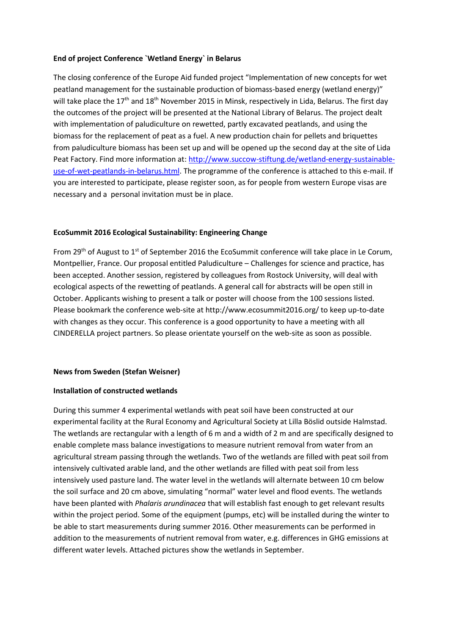### **End of project Conference `Wetland Energy` in Belarus**

The closing conference of the Europe Aid funded project "Implementation of new concepts for wet peatland management for the sustainable production of biomass-based energy (wetland energy)" will take place the  $17<sup>th</sup>$  and  $18<sup>th</sup>$  November 2015 in Minsk, respectively in Lida, Belarus. The first day the outcomes of the project will be presented at the National Library of Belarus. The project dealt with implementation of paludiculture on rewetted, partly excavated peatlands, and using the biomass for the replacement of peat as a fuel. A new production chain for pellets and briquettes from paludiculture biomass has been set up and will be opened up the second day at the site of Lida Peat Factory. Find more information at: [http://www.succow-stiftung.de/wetland-energy-sustainable](http://www.succow-stiftung.de/wetland-energy-sustainable-use-of-wet-peatlands-in-belarus.html)[use-of-wet-peatlands-in-belarus.html.](http://www.succow-stiftung.de/wetland-energy-sustainable-use-of-wet-peatlands-in-belarus.html) The programme of the conference is attached to this e-mail. If you are interested to participate, please register soon, as for people from western Europe visas are necessary and a personal invitation must be in place.

#### **EcoSummit 2016 Ecological Sustainability: Engineering Change**

From 29<sup>th</sup> of August to 1<sup>st</sup> of September 2016 the EcoSummit conference will take place in Le Corum, Montpellier, France. Our proposal entitled Paludiculture – Challenges for science and practice, has been accepted. Another session, registered by colleagues from Rostock University, will deal with ecological aspects of the rewetting of peatlands. A general call for abstracts will be open still in October. Applicants wishing to present a talk or poster will choose from the 100 sessions listed. Please bookmark the conference web-site at http://www.ecosummit2016.org/ to keep up-to-date with changes as they occur. This conference is a good opportunity to have a meeting with all CINDERELLA project partners. So please orientate yourself on the web-site as soon as possible.

#### **News from Sweden (Stefan Weisner)**

#### **Installation of constructed wetlands**

During this summer 4 experimental wetlands with peat soil have been constructed at our experimental facility at the Rural Economy and Agricultural Society at Lilla Böslid outside Halmstad. The wetlands are rectangular with a length of 6 m and a width of 2 m and are specifically designed to enable complete mass balance investigations to measure nutrient removal from water from an agricultural stream passing through the wetlands. Two of the wetlands are filled with peat soil from intensively cultivated arable land, and the other wetlands are filled with peat soil from less intensively used pasture land. The water level in the wetlands will alternate between 10 cm below the soil surface and 20 cm above, simulating "normal" water level and flood events. The wetlands have been planted with *Phalaris arundinacea* that will establish fast enough to get relevant results within the project period. Some of the equipment (pumps, etc) will be installed during the winter to be able to start measurements during summer 2016. Other measurements can be performed in addition to the measurements of nutrient removal from water, e.g. differences in GHG emissions at different water levels. Attached pictures show the wetlands in September.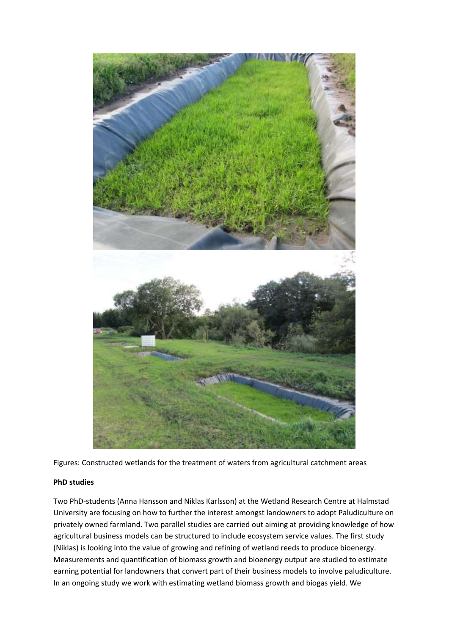

Figures: Constructed wetlands for the treatment of waters from agricultural catchment areas

## **PhD studies**

Two PhD-students (Anna Hansson and Niklas Karlsson) at the Wetland Research Centre at Halmstad University are focusing on how to further the interest amongst landowners to adopt Paludiculture on privately owned farmland. Two parallel studies are carried out aiming at providing knowledge of how agricultural business models can be structured to include ecosystem service values. The first study (Niklas) is looking into the value of growing and refining of wetland reeds to produce bioenergy. Measurements and quantification of biomass growth and bioenergy output are studied to estimate earning potential for landowners that convert part of their business models to involve paludiculture. In an ongoing study we work with estimating wetland biomass growth and biogas yield. We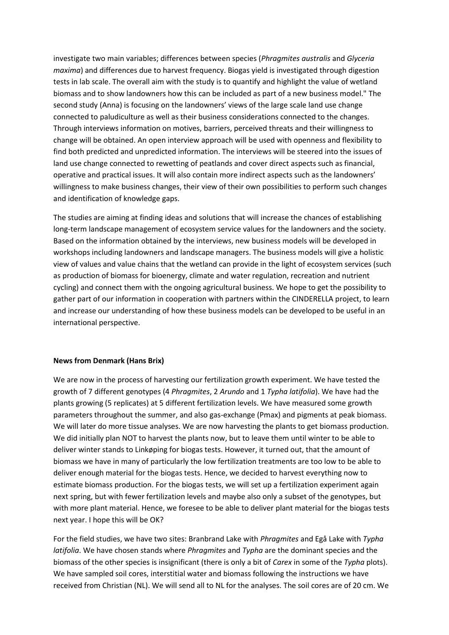investigate two main variables; differences between species (*Phragmites australis* and *Glyceria maxima*) and differences due to harvest frequency. Biogas yield is investigated through digestion tests in lab scale. The overall aim with the study is to quantify and highlight the value of wetland biomass and to show landowners how this can be included as part of a new business model." The second study (Anna) is focusing on the landowners' views of the large scale land use change connected to paludiculture as well as their business considerations connected to the changes. Through interviews information on motives, barriers, perceived threats and their willingness to change will be obtained. An open interview approach will be used with openness and flexibility to find both predicted and unpredicted information. The interviews will be steered into the issues of land use change connected to rewetting of peatlands and cover direct aspects such as financial, operative and practical issues. It will also contain more indirect aspects such as the landowners' willingness to make business changes, their view of their own possibilities to perform such changes and identification of knowledge gaps.

The studies are aiming at finding ideas and solutions that will increase the chances of establishing long-term landscape management of ecosystem service values for the landowners and the society. Based on the information obtained by the interviews, new business models will be developed in workshops including landowners and landscape managers. The business models will give a holistic view of values and value chains that the wetland can provide in the light of ecosystem services (such as production of biomass for bioenergy, climate and water regulation, recreation and nutrient cycling) and connect them with the ongoing agricultural business. We hope to get the possibility to gather part of our information in cooperation with partners within the CINDERELLA project, to learn and increase our understanding of how these business models can be developed to be useful in an international perspective.

#### **News from Denmark (Hans Brix)**

We are now in the process of harvesting our fertilization growth experiment. We have tested the growth of 7 different genotypes (4 *Phragmites*, 2 *Arundo* and 1 *Typha latifolia*). We have had the plants growing (5 replicates) at 5 different fertilization levels. We have measured some growth parameters throughout the summer, and also gas-exchange (Pmax) and pigments at peak biomass. We will later do more tissue analyses. We are now harvesting the plants to get biomass production. We did initially plan NOT to harvest the plants now, but to leave them until winter to be able to deliver winter stands to Linkøping for biogas tests. However, it turned out, that the amount of biomass we have in many of particularly the low fertilization treatments are too low to be able to deliver enough material for the biogas tests. Hence, we decided to harvest everything now to estimate biomass production. For the biogas tests, we will set up a fertilization experiment again next spring, but with fewer fertilization levels and maybe also only a subset of the genotypes, but with more plant material. Hence, we foresee to be able to deliver plant material for the biogas tests next year. I hope this will be OK?

For the field studies, we have two sites: Branbrand Lake with *Phragmites* and Egå Lake with *Typha latifolia*. We have chosen stands where *Phragmites* and *Typha* are the dominant species and the biomass of the other species is insignificant (there is only a bit of *Carex* in some of the *Typha* plots). We have sampled soil cores, interstitial water and biomass following the instructions we have received from Christian (NL). We will send all to NL for the analyses. The soil cores are of 20 cm. We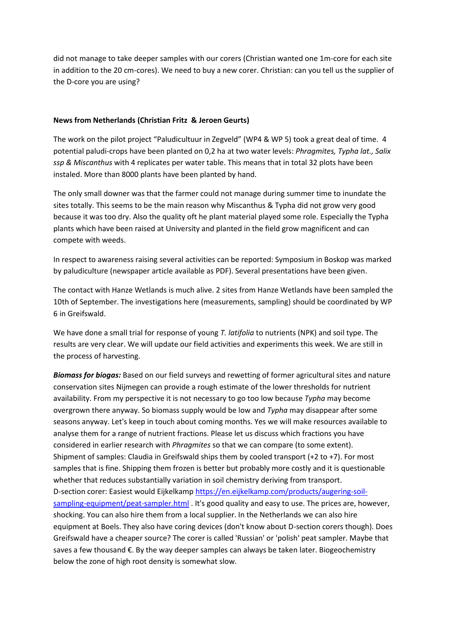did not manage to take deeper samples with our corers (Christian wanted one 1m-core for each site in addition to the 20 cm-cores). We need to buy a new corer. Christian: can you tell us the supplier of the D-core you are using?

### **News from Netherlands (Christian Fritz & Jeroen Geurts)**

The work on the pilot project "Paludicultuur in Zegveld" (WP4 & WP 5) took a great deal of time. 4 potential paludi-crops have been planted on 0,2 ha at two water levels: *Phragmites, Typha lat., Salix ssp & Miscanthus* with 4 replicates per water table. This means that in total 32 plots have been instaled. More than 8000 plants have been planted by hand.

The only small downer was that the farmer could not manage during summer time to inundate the sites totally. This seems to be the main reason why Miscanthus & Typha did not grow very good because it was too dry. Also the quality oft he plant material played some role. Especially the Typha plants which have been raised at University and planted in the field grow magnificent and can compete with weeds.

In respect to awareness raising several activities can be reported: Symposium in Boskop was marked by paludiculture (newspaper article available as PDF). Several presentations have been given.

The contact with Hanze Wetlands is much alive. 2 sites from Hanze Wetlands have been sampled the 10th of September. The investigations here (measurements, sampling) should be coordinated by WP 6 in Greifswald.

We have done a small trial for response of young *T. latifolia* to nutrients (NPK) and soil type. The results are very clear. We will update our field activities and experiments this week. We are still in the process of harvesting.

*Biomass for biogas:* Based on our field surveys and rewetting of former agricultural sites and nature conservation sites Nijmegen can provide a rough estimate of the lower thresholds for nutrient availability. From my perspective it is not necessary to go too low because *Typha* may become overgrown there anyway. So biomass supply would be low and *Typha* may disappear after some seasons anyway. Let's keep in touch about coming months. Yes we will make resources available to analyse them for a range of nutrient fractions. Please let us discuss which fractions you have considered in earlier research with *Phragmites* so that we can compare (to some extent). Shipment of samples: Claudia in Greifswald ships them by cooled transport (+2 to +7). For most samples that is fine. Shipping them frozen is better but probably more costly and it is questionable whether that reduces substantially variation in soil chemistry deriving from transport. D-section corer: Easiest would Eijkelkamp [https://en.eijkelkamp.com/products/augering-soil](https://en.eijkelkamp.com/products/augering-soil-sampling-equipment/peat-sampler.html)[sampling-equipment/peat-sampler.html](https://en.eijkelkamp.com/products/augering-soil-sampling-equipment/peat-sampler.html) . It's good quality and easy to use. The prices are, however, shocking. You can also hire them from a local supplier. In the Netherlands we can also hire equipment at Boels. They also have coring devices (don't know about D-section corers though). Does Greifswald have a cheaper source? The corer is called 'Russian' or 'polish' peat sampler. Maybe that saves a few thousand €. By the way deeper samples can always be taken later. Biogeochemistry below the zone of high root density is somewhat slow.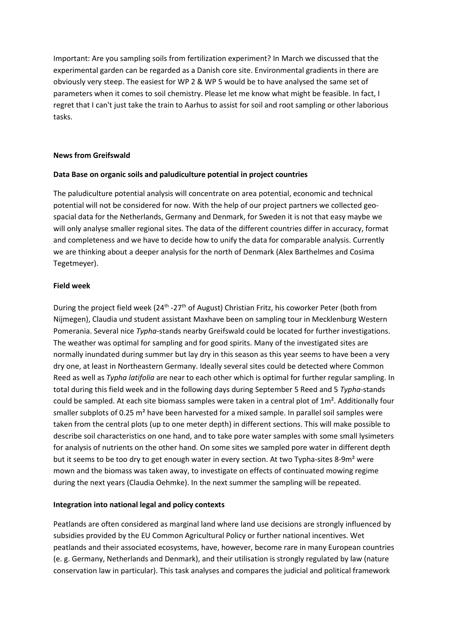Important: Are you sampling soils from fertilization experiment? In March we discussed that the experimental garden can be regarded as a Danish core site. Environmental gradients in there are obviously very steep. The easiest for WP 2 & WP 5 would be to have analysed the same set of parameters when it comes to soil chemistry. Please let me know what might be feasible. In fact, I regret that I can't just take the train to Aarhus to assist for soil and root sampling or other laborious tasks.

### **News from Greifswald**

### **Data Base on organic soils and paludiculture potential in project countries**

The paludiculture potential analysis will concentrate on area potential, economic and technical potential will not be considered for now. With the help of our project partners we collected geospacial data for the Netherlands, Germany and Denmark, for Sweden it is not that easy maybe we will only analyse smaller regional sites. The data of the different countries differ in accuracy, format and completeness and we have to decide how to unify the data for comparable analysis. Currently we are thinking about a deeper analysis for the north of Denmark (Alex Barthelmes and Cosima Tegetmeyer).

### **Field week**

During the project field week (24<sup>th</sup> -27<sup>th</sup> of August) Christian Fritz, his coworker Peter (both from Nijmegen), Claudia und student assistant Maxhave been on sampling tour in Mecklenburg Western Pomerania. Several nice *Typha*-stands nearby Greifswald could be located for further investigations. The weather was optimal for sampling and for good spirits. Many of the investigated sites are normally inundated during summer but lay dry in this season as this year seems to have been a very dry one, at least in Northeastern Germany. Ideally several sites could be detected where Common Reed as well as *Typha latifolia* are near to each other which is optimal for further regular sampling. In total during this field week and in the following days during September 5 Reed and 5 *Typha*-stands could be sampled. At each site biomass samples were taken in a central plot of  $1m<sup>2</sup>$ . Additionally four smaller subplots of 0.25 m<sup>2</sup> have been harvested for a mixed sample. In parallel soil samples were taken from the central plots (up to one meter depth) in different sections. This will make possible to describe soil characteristics on one hand, and to take pore water samples with some small lysimeters for analysis of nutrients on the other hand. On some sites we sampled pore water in different depth but it seems to be too dry to get enough water in every section. At two Typha-sites 8-9m<sup>2</sup> were mown and the biomass was taken away, to investigate on effects of continuated mowing regime during the next years (Claudia Oehmke). In the next summer the sampling will be repeated.

## **Integration into national legal and policy contexts**

Peatlands are often considered as marginal land where land use decisions are strongly influenced by subsidies provided by the EU Common Agricultural Policy or further national incentives. Wet peatlands and their associated ecosystems, have, however, become rare in many European countries (e. g. Germany, Netherlands and Denmark), and their utilisation is strongly regulated by law (nature conservation law in particular). This task analyses and compares the judicial and political framework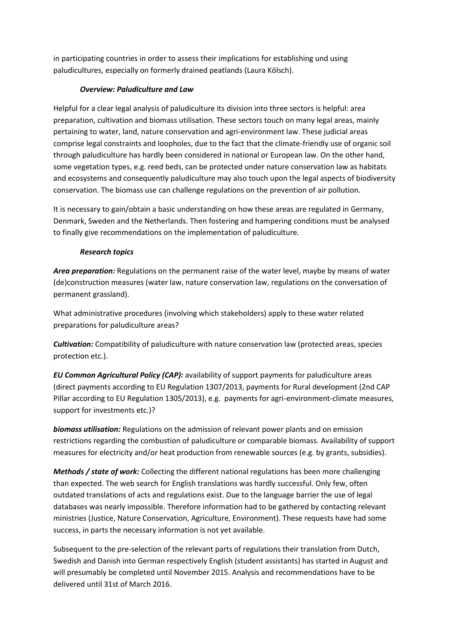in participating countries in order to assess their implications for establishing und using paludicultures, especially on formerly drained peatlands (Laura Kölsch).

## *Overview: Paludiculture and Law*

Helpful for a clear legal analysis of paludiculture its division into three sectors is helpful: area preparation, cultivation and biomass utilisation. These sectors touch on many legal areas, mainly pertaining to water, land, nature conservation and agri-environment law. These judicial areas comprise legal constraints and loopholes, due to the fact that the climate-friendly use of organic soil through paludiculture has hardly been considered in national or European law. On the other hand, some vegetation types, e.g. reed beds, can be protected under nature conservation law as habitats and ecosystems and consequently paludiculture may also touch upon the legal aspects of biodiversity conservation. The biomass use can challenge regulations on the prevention of air pollution.

It is necessary to gain/obtain a basic understanding on how these areas are regulated in Germany, Denmark, Sweden and the Netherlands. Then fostering and hampering conditions must be analysed to finally give recommendations on the implementation of paludiculture.

## *Research topics*

*Area preparation:* Regulations on the permanent raise of the water level, maybe by means of water (de)construction measures (water law, nature conservation law, regulations on the conversation of permanent grassland).

What administrative procedures (involving which stakeholders) apply to these water related preparations for paludiculture areas?

*Cultivation:* Compatibility of paludiculture with nature conservation law (protected areas, species protection etc.).

*EU Common Agricultural Policy (CAP):* availability of support payments for paludiculture areas (direct payments according to EU Regulation 1307/2013, payments for Rural development (2nd CAP Pillar according to EU Regulation 1305/2013), e.g. payments for agri-environment-climate measures, support for investments etc.)?

*biomass utilisation:* Regulations on the admission of relevant power plants and on emission restrictions regarding the combustion of paludiculture or comparable biomass. Availability of support measures for electricity and/or heat production from renewable sources (e.g. by grants, subsidies).

*Methods / state of work:* Collecting the different national regulations has been more challenging than expected. The web search for English translations was hardly successful. Only few, often outdated translations of acts and regulations exist. Due to the language barrier the use of legal databases was nearly impossible. Therefore information had to be gathered by contacting relevant ministries (Justice, Nature Conservation, Agriculture, Environment). These requests have had some success, in parts the necessary information is not yet available.

Subsequent to the pre-selection of the relevant parts of regulations their translation from Dutch, Swedish and Danish into German respectively English (student assistants) has started in August and will presumably be completed until November 2015. Analysis and recommendations have to be delivered until 31st of March 2016.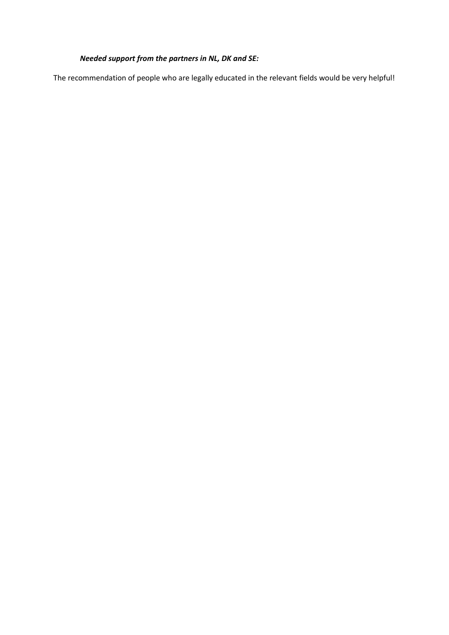# *Needed support from the partners in NL, DK and SE:*

The recommendation of people who are legally educated in the relevant fields would be very helpful!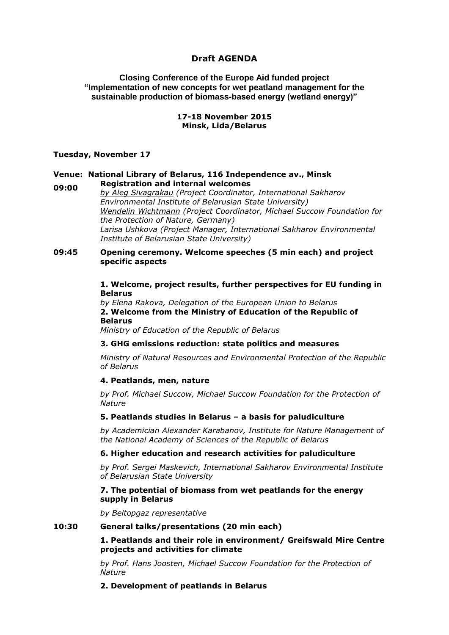## **Draft AGENDA**

**Closing Conference of the Europe Aid funded project "Implementation of new concepts for wet peatland management for the sustainable production of biomass-based energy (wetland energy)"**

#### **17-18 November 2015 Minsk, Lida/Belarus**

#### **Tuesday, November 17**

## **Venue: National Library of Belarus, 116 Independence av., Minsk 09:00 Registration and internal welcomes**

*by Aleg Sivagrakau (Project Coordinator, International Sakharov Environmental Institute of Belarusian State University) Wendelin Wichtmann (Project Coordinator, Michael Succow Foundation for the Protection of Nature, Germany) Larisa Ushkova (Project Manager, International Sakharov Environmental Institute of Belarusian State University)*

#### **09:45 Opening ceremony. Welcome speeches (5 min each) and project specific aspects**

#### **1. Welcome, project results, further perspectives for EU funding in Belarus**

*by Elena Rakova, Delegation of the European Union to Belarus* **2. Welcome from the Ministry of Education of the Republic of Belarus** *Ministry of Education of the Republic of Belarus*

## **3. GHG emissions reduction: state politics and measures**

*Ministry of Natural Resources and Environmental Protection of the Republic of Belarus*

#### **4. Peatlands, men, nature**

*by Prof. Michael Succow, Michael Succow Foundation for the Protection of Nature*

#### **5. Peatlands studies in Belarus – a basis for paludiculture**

*by Academician Alexander Karabanov, Institute for Nature Management of the National Academy of Sciences of the Republic of Belarus*

#### **6. Higher education and research activities for paludiculture**

*by Prof. Sergei Maskevich, International Sakharov Environmental Institute of Belarusian State University*

#### **7. The potential of biomass from wet peatlands for the energy supply in Belarus**

*by Beltopgaz representative*

#### **10:30 General talks/presentations (20 min each)**

**1. Peatlands and their role in environment/ Greifswald Mire Centre projects and activities for climate**

*by Prof. Hans Joosten, Michael Succow Foundation for the Protection of Nature*

**2. Development of peatlands in Belarus**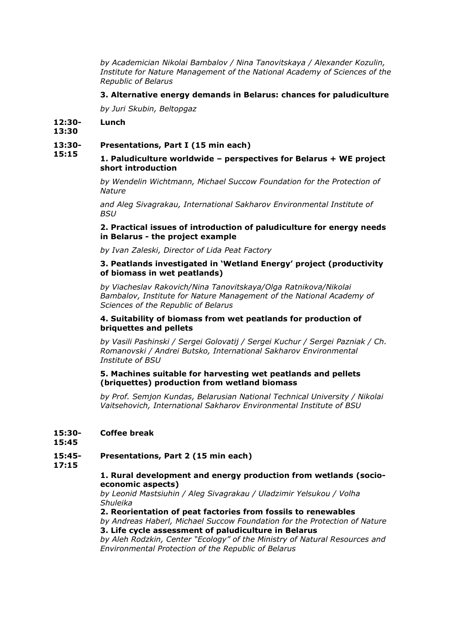*by Academician Nikolai Bambalov / Nina Tanovitskaya / Alexander Kozulin, Institute for Nature Management of the National Academy of Sciences of the Republic of Belarus*

### **3. Alternative energy demands in Belarus: chances for paludiculture**

*by Juri Skubin, Beltopgaz*

#### **12:30- Lunch**

**13:30**

#### **13:30- Presentations, Part I (15 min each)**

#### **15:15 1. Paludiculture worldwide – perspectives for Belarus + WE project short introduction**

*by Wendelin Wichtmann, Michael Succow Foundation for the Protection of Nature*

*and Aleg Sivagrakau, International Sakharov Environmental Institute of BSU*

#### **2. Practical issues of introduction of paludiculture for energy needs in Belarus - the project example**

*by Ivan Zaleski, Director of Lida Peat Factory*

#### **3. Peatlands investigated in 'Wetland Energy' project (productivity of biomass in wet peatlands)**

*by Viacheslav Rakovich/Nina Tanovitskaya/Olga Ratnikova/Nikolai Bambalov, Institute for Nature Management of the National Academy of Sciences of the Republic of Belarus*

#### **4. Suitability of biomass from wet peatlands for production of briquettes and pellets**

*by Vasili Pashinski / Sergei Golovatij / Sergei Kuchur / Sergei Pazniak / Ch. Romanovski / Andrei Butsko, International Sakharov Environmental Institute of BSU*

#### **5. Machines suitable for harvesting wet peatlands and pellets (briquettes) production from wetland biomass**

*by Prof. Semjon Kundas, Belarusian National Technical University / Nikolai Vaitsehovich, International Sakharov Environmental Institute of BSU*

#### **15:30- Coffee break**

**15:45**

#### **15:45- Presentations, Part 2 (15 min each)**

**17:15**

## **1. Rural development and energy production from wetlands (socioeconomic aspects)**

*by Leonid Mastsiuhin / Aleg Sivagrakau / Uladzimir Yelsukou / Volha Shuleika*

**2. Reorientation of peat factories from fossils to renewables**

*by Andreas Haberl, Michael Succow Foundation for the Protection of Nature* **3. Life cycle assessment of paludiculture in Belarus**

*by Aleh Rodzkin, Center "Ecology" of the Ministry of Natural Resources and Environmental Protection of the Republic of Belarus*